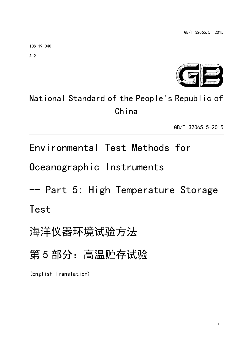ICS 19.040

A 21



# National Standard of the People's Republic of China

GB/T 32065.5-2015

Environmental Test Methods for

Oceanographic Instruments

-- Part 5: High Temperature Storage Test

海洋仪器环境试验方法

第 5 部分:高温贮存试验

(English Translation)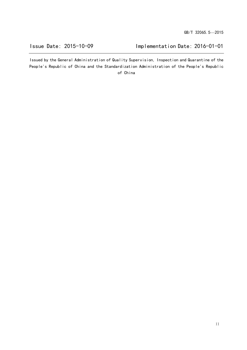Issue Date: 2015-10-09 Implementation Date: 2016-01-01

Issued by the General Administration of Quality Supervision, Inspection and Quarantine of the People's Republic of China and the Standardization Administration of the People's Republic of China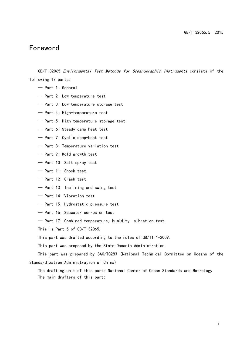# Foreword

GB/T 32065 *Environmental Test Methods for Oceanographic Instruments* consists of the following 17 parts:

- Part 1: General
- Part 2: Low-temperature test
- Part 3: Low-temperature storage test
- Part 4: High-temperature test
- Part 5: High-temperature storage test
- Part 6: Steady damp-heat test
- Part 7: Cyclic damp-heat test
- Part 8: Temperature variation test
- Part 9: Mold growth test
- Part 10: Salt spray test
- Part 11: Shock test
- Part 12: Crash test
- Part 13: Inclining and swing test
- Part 14: Vibration test
- Part 15: Hydrostatic pressure test
- Part 16: Seawater corrosion test
- Part 17: Combined temperature, humidity, vibration test

This is Part 5 of GB/T 32065.

This part was drafted according to the rules of GB/T1.1-2009.

This part was proposed by the State Oceanic Administration.

This part was prepared by SAC/TC283 (National Technical Committee on Oceans of the Standardization Administration of China).

The drafting unit of this part: National Center of Ocean Standards and Metrology The main drafters of this part: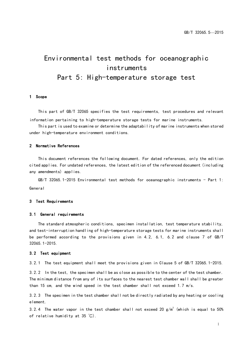# Environmental test methods for oceanographic instruments Part 5: High-temperature storage test

#### 1 Scope

This part of GB/T 32065 specifies the test requirements, test procedures and relevant information pertaining to high-temperature storage tests for marine instruments.

This part is used to examine or determine the adaptability of marine instruments when stored under high-temperature environment conditions.

#### 2 Normative References

This document references the following document. For dated references, only the edition cited applies. For undated references, the latest edition of the referenced document (including any amendments) applies.

 $GB/T$  32065.1-2015 Environmental test methods for oceanographic instruments - Part 1: General

#### 3 Test Requirements

#### 3.1 General requirements

The standard atmospheric conditions, specimen installation, test temperature stability, and test-interruption handling of high-temperature storage tests for marine instruments shall be performed according to the provisions given in 4.2, 6.1, 6.2 and clause 7 of GB/T 32065.1-2015.

#### 3.2 Test equipment

3.2.1 The test equipment shall meet the provisions given in Clause 5 of GB/T 32065.1-2015.

3.2.2 In the test, the specimen shall be as close as possible to the center of the test chamber. The minimum distance from any of its surfaces to the nearest test chamber wall shall be greater than 15 cm, and the wind speed in the test chamber shall not exceed 1.7 m/s.

3.2.3 The specimen in the test chamber shall not be directly radiated by any heating or cooling element.

3.2.4 The water vapor in the test chamber shall not exceed 20  $\mathsf{g}/\mathsf{m}^3$  (which is equal to 50% of relative humidity at 35 ℃).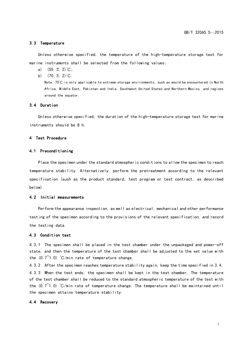#### 3.3 Temperature

Unless otherwise specified, the temperature of the high-temperature storage test for marine instruments shall be selected from the following values:

- a)  $(55 \pm 2)$  °C;
- b)  $(70 \pm 2)$  °C.

Note: 70℃ is only applicable to extreme storage environments, such as would be encountered in North Africa, Middle East, Pakistan and India, Southwest United States and Northern Mexico, and regions around the equator.

#### 3.4 Duration

Unless otherwise specified, the duration of the high-temperature storage test for marine instruments should be 8 h.

#### 4 Test Procedure

#### 4.1 Preconditioning

Place the specimen under the standard atmospheric conditions to allow the specimen to reach temperature stability. Alternatively, perform the pretreatment according to the relevant specification (such as the product standard, test program or test contract, as described below).

#### 4.2 Initial measurements

Perform the appearance inspection, as well as electrical, mechanical and other performance testing of the specimen according to the provisions of the relevant specification, and record the testing data.

#### 4.3 Condition test

4.3.1 The specimen shall be placed in the test chamber under the unpackaged and power-off state, and then the temperature of the test chamber shall be adjusted to the set value with the  $(0.7<sup>0</sup>1.0)$  °C/min rate of temperature change.

4.3.2 After the specimen reaches temperature stability again, keep the time specified in 3.4. 4.3.3 When the test ends, the specimen shall be kept in the test chamber. The temperature of the test chamber shall be reduced to the standard atmospheric temperature of the test with the  $(0.7^{\circ}1.0)$  °C/min rate of temperature change. The temperature shall be maintained until the specimen attains temperature stability.

#### 4.4 Recovery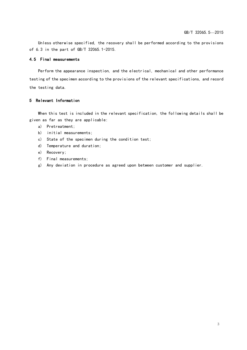Unless otherwise specified, the recovery shall be performed according to the provisions of 6.3 in the part of GB/T 32065.1-2015.

### 4.5 Final measurements

Perform the appearance inspection, and the electrical, mechanical and other performance testing of the specimen according to the provisions of the relevant specifications, and record the testing data.

#### 5 Relevant Information

When this test is included in the relevant specification, the following details shall be given as far as they are applicable:

- a) Pretreatment;
- b) initial measurements;
- c) State of the specimen during the condition test;
- d) Temperature and duration;
- e) Recovery;
- f) Final measurements;
- g) Any deviation in procedure as agreed upon between customer and supplier.